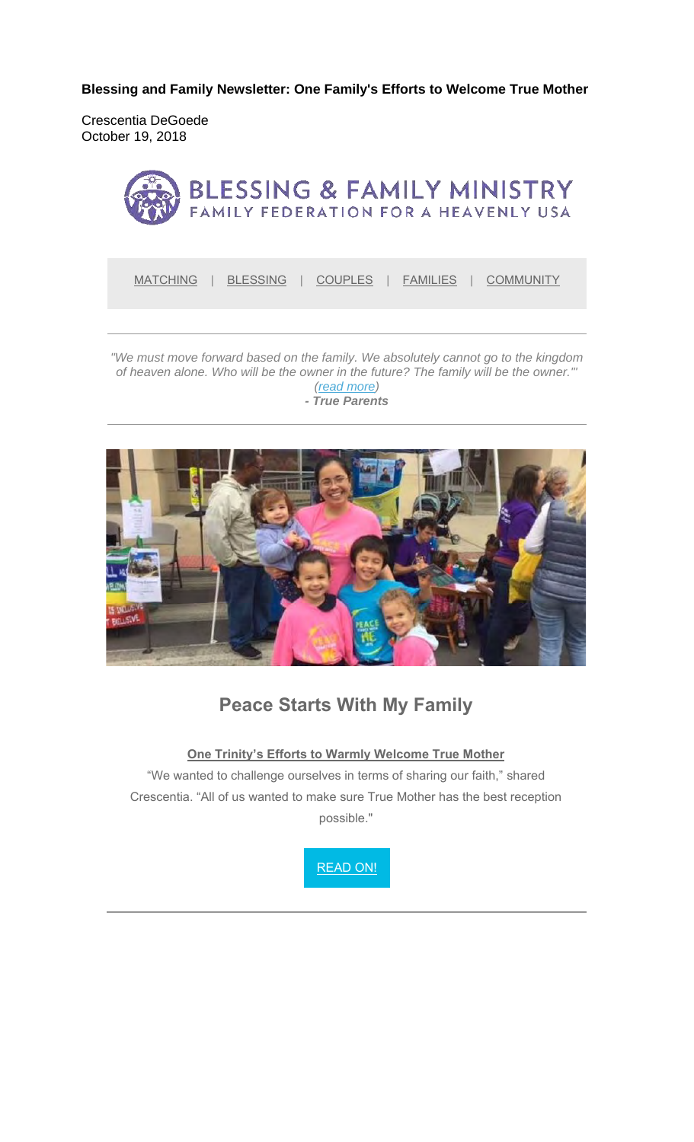**Blessing and Family Newsletter: One Family's Efforts to Welcome True Mother**

Crescentia DeGoede October 19, 2018



MATCHING | BLESSING | COUPLES | FAMILIES | COMMUNITY

*"We must move forward based on the family. We absolutely cannot go to the kingdom of heaven alone. Who will be the owner in the future? The family will be the owner.'" (read more) - True Parents*



### **Peace Starts With My Family**

**One Trinity's Efforts to Warmly Welcome True Mother**

"We wanted to challenge ourselves in terms of sharing our faith," shared Crescentia. "All of us wanted to make sure True Mother has the best reception possible."

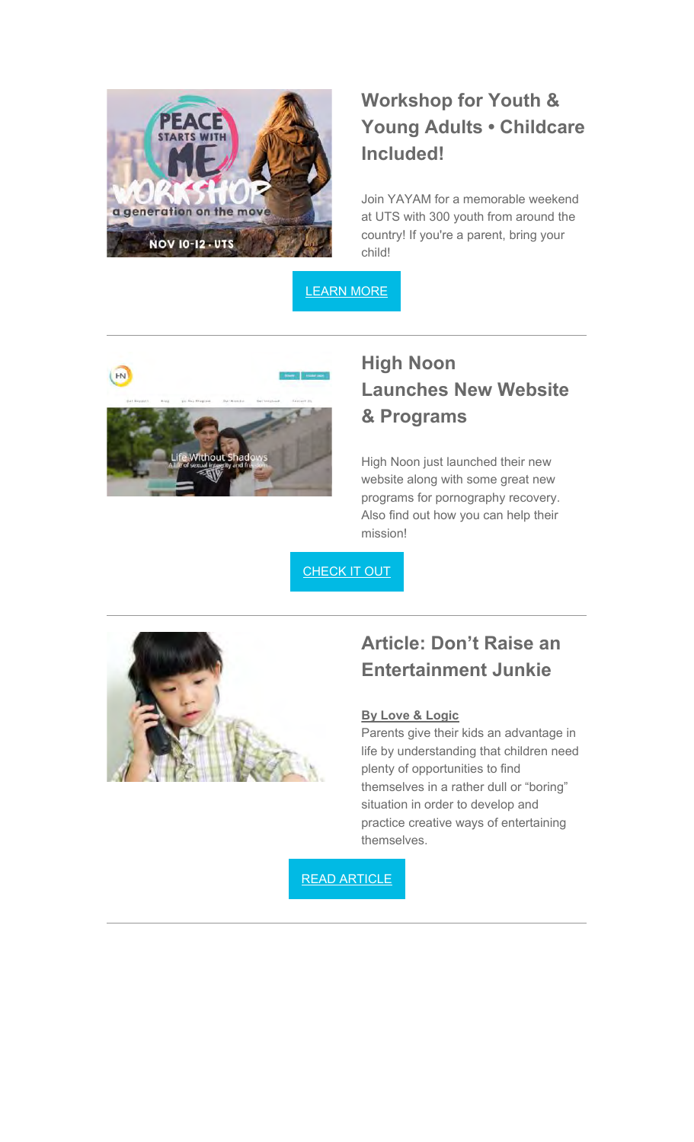

# **Workshop for Youth & Young Adults • Childcare Included!**

Join YAYAM for a memorable weekend at UTS with 300 youth from around the country! If you're a parent, bring your child!

LEARN MORE



# **High Noon Launches New Website & Programs**

High Noon just launched their new website along with some great new programs for pornography recovery. Also find out how you can help their mission!

**CHECK IT OUT** 



### **Article: Don't Raise an Entertainment Junkie**

#### **By Love & Logic**

Parents give their kids an advantage in life by understanding that children need plenty of opportunities to find themselves in a rather dull or "boring" situation in order to develop and practice creative ways of entertaining themselves.

READ ARTICLE